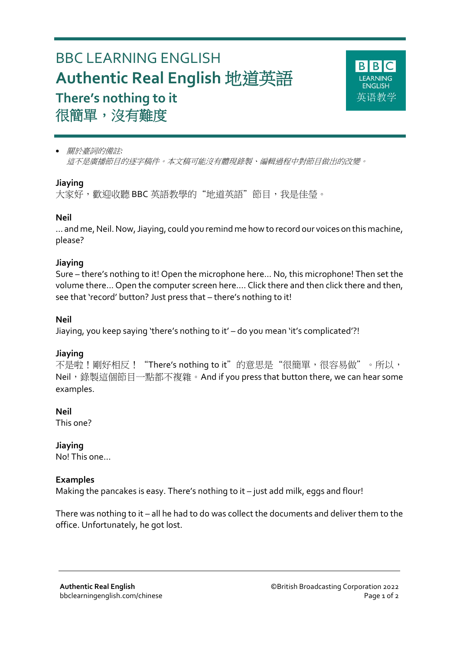# BBC LEARNING ENGLISH **Authentic Real English** 地道英語 **There's nothing to it** 很簡單,沒有難度



 關於臺詞的備註*:* 這不是廣播節目的逐字稿件。本文稿可能沒有體現錄製、編輯過程中對節目做出的改變。

#### **Jiaying**

大家好,歡迎收聽 BBC 英語教學的"地道英語"節目, 我是佳瑩。

#### **Neil**

... and me, Neil. Now, Jiaying, could you remind me how to record our voices on this machine, please?

#### **Jiaying**

Sure – there's nothing to it! Open the microphone here… No, this microphone! Then set the volume there... Open the computer screen here…. Click there and then click there and then, see that 'record' button? Just press that – there's nothing to it!

#### **Neil**

Jiaying, you keep saying 'there's nothing to it' – do you mean 'it's complicated'?!

#### **Jiaying**

不是啦!剛好相反!"There's nothing to it"的意思是"很簡單,很容易做"。所以, Neil, 錄製這個節目一點都不複雜。And if you press that button there, we can hear some examples.

#### **Neil**

This one?

#### **Jiaying**

No! This one…

#### **Examples**

Making the pancakes is easy. There's nothing to it – just add milk, eggs and flour!

There was nothing to it – all he had to do was collect the documents and deliver them to the office. Unfortunately, he got lost.